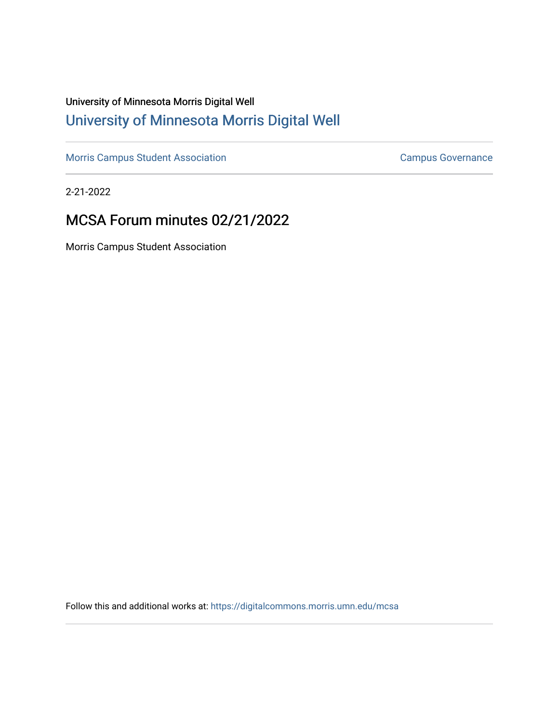# University of Minnesota Morris Digital Well [University of Minnesota Morris Digital Well](https://digitalcommons.morris.umn.edu/)

[Morris Campus Student Association](https://digitalcommons.morris.umn.edu/mcsa) **Campus Governance** Campus Governance

2-21-2022

# MCSA Forum minutes 02/21/2022

Morris Campus Student Association

Follow this and additional works at: [https://digitalcommons.morris.umn.edu/mcsa](https://digitalcommons.morris.umn.edu/mcsa?utm_source=digitalcommons.morris.umn.edu%2Fmcsa%2F291&utm_medium=PDF&utm_campaign=PDFCoverPages)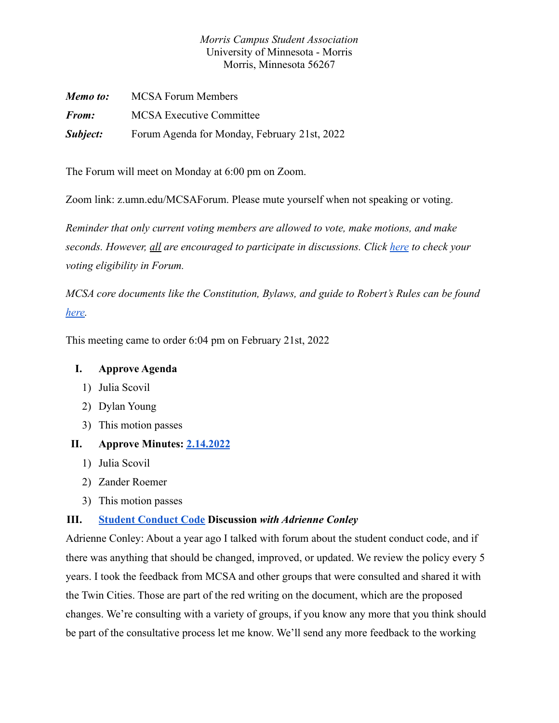# *Morris Campus Student Association* University of Minnesota - Morris Morris, Minnesota 56267

| Memo to:     | <b>MCSA Forum Members</b>                    |
|--------------|----------------------------------------------|
| <b>From:</b> | <b>MCSA</b> Executive Committee              |
| Subject:     | Forum Agenda for Monday, February 21st, 2022 |

The Forum will meet on Monday at 6:00 pm on Zoom.

Zoom link: z.umn.edu/MCSAForum. Please mute yourself when not speaking or voting.

*Reminder that only current voting members are allowed to vote, make motions, and make seconds. However, all are encouraged to participate in discussions. Click [here](https://docs.google.com/spreadsheets/d/1IgORcenzdq47MXSEksu8Kf-kX8Rk_J3VRxbcskqDAks/edit?usp=sharing) to check your voting eligibility in Forum.*

*MCSA core documents like the Constitution, Bylaws, and guide to Robert's Rules can be found [here.](https://drive.google.com/drive/folders/1TIMThwj04feIUKbJOUHqFjpxSo5d_3_W?usp=sharing)*

This meeting came to order 6:04 pm on February 21st, 2022

# **I. Approve Agenda**

- 1) Julia Scovil
- 2) Dylan Young
- 3) This motion passes

# **II. Approve Minutes: [2.14.2022](https://docs.google.com/document/d/1gBDPj1M8s87f6BPxagZp_-25iTEnPiaWUeMtU6fDA6w/edit)**

- 1) Julia Scovil
- 2) Zander Roemer
- 3) This motion passes

#### **III. [Student Conduct Code](https://docs.google.com/document/d/1DGA8Yw1ZeKEex76skvxJQFGRhEj1Vg5gCHRGQjwKR_4/edit) Discussion** *with Adrienne Conley*

Adrienne Conley: About a year ago I talked with forum about the student conduct code, and if there was anything that should be changed, improved, or updated. We review the policy every 5 years. I took the feedback from MCSA and other groups that were consulted and shared it with the Twin Cities. Those are part of the red writing on the document, which are the proposed changes. We're consulting with a variety of groups, if you know any more that you think should be part of the consultative process let me know. We'll send any more feedback to the working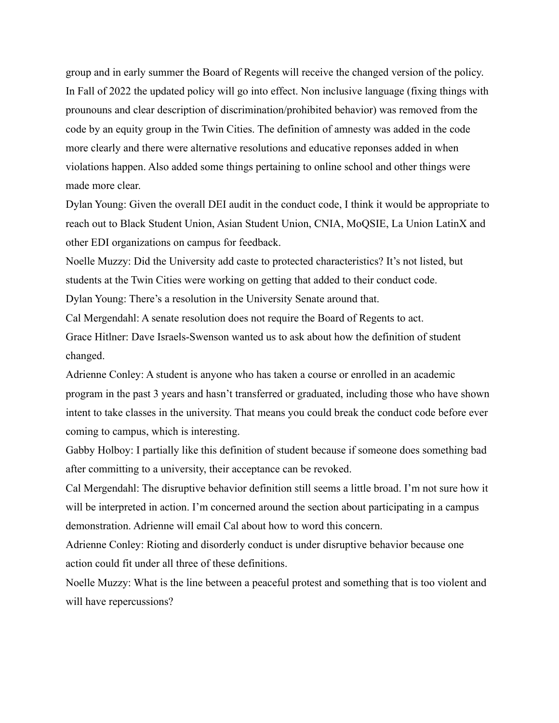group and in early summer the Board of Regents will receive the changed version of the policy. In Fall of 2022 the updated policy will go into effect. Non inclusive language (fixing things with prounouns and clear description of discrimination/prohibited behavior) was removed from the code by an equity group in the Twin Cities. The definition of amnesty was added in the code more clearly and there were alternative resolutions and educative reponses added in when violations happen. Also added some things pertaining to online school and other things were made more clear.

Dylan Young: Given the overall DEI audit in the conduct code, I think it would be appropriate to reach out to Black Student Union, Asian Student Union, CNIA, MoQSIE, La Union LatinX and other EDI organizations on campus for feedback.

Noelle Muzzy: Did the University add caste to protected characteristics? It's not listed, but students at the Twin Cities were working on getting that added to their conduct code. Dylan Young: There's a resolution in the University Senate around that.

Cal Mergendahl: A senate resolution does not require the Board of Regents to act. Grace Hitlner: Dave Israels-Swenson wanted us to ask about how the definition of student changed.

Adrienne Conley: A student is anyone who has taken a course or enrolled in an academic program in the past 3 years and hasn't transferred or graduated, including those who have shown intent to take classes in the university. That means you could break the conduct code before ever coming to campus, which is interesting.

Gabby Holboy: I partially like this definition of student because if someone does something bad after committing to a university, their acceptance can be revoked.

Cal Mergendahl: The disruptive behavior definition still seems a little broad. I'm not sure how it will be interpreted in action. I'm concerned around the section about participating in a campus demonstration. Adrienne will email Cal about how to word this concern.

Adrienne Conley: Rioting and disorderly conduct is under disruptive behavior because one action could fit under all three of these definitions.

Noelle Muzzy: What is the line between a peaceful protest and something that is too violent and will have repercussions?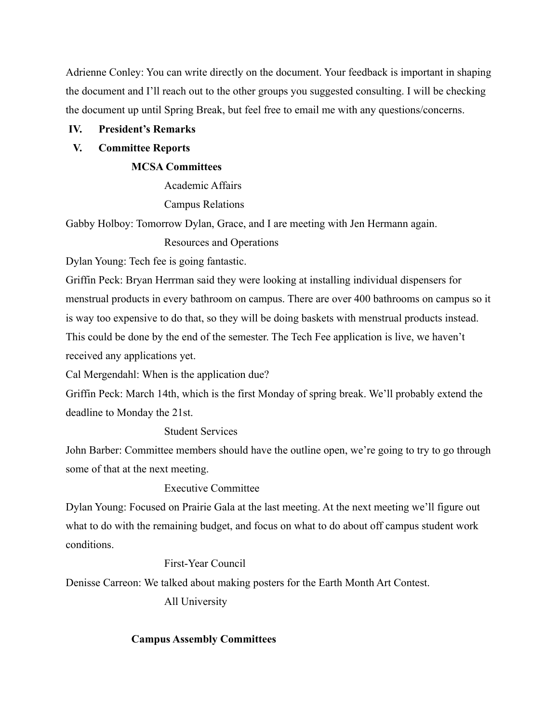Adrienne Conley: You can write directly on the document. Your feedback is important in shaping the document and I'll reach out to the other groups you suggested consulting. I will be checking the document up until Spring Break, but feel free to email me with any questions/concerns.

## **IV. President's Remarks**

## **V. Committee Reports**

### **MCSA Committees**

Academic Affairs Campus Relations

Gabby Holboy: Tomorrow Dylan, Grace, and I are meeting with Jen Hermann again.

Resources and Operations

Dylan Young: Tech fee is going fantastic.

Griffin Peck: Bryan Herrman said they were looking at installing individual dispensers for menstrual products in every bathroom on campus. There are over 400 bathrooms on campus so it is way too expensive to do that, so they will be doing baskets with menstrual products instead. This could be done by the end of the semester. The Tech Fee application is live, we haven't received any applications yet.

Cal Mergendahl: When is the application due?

Griffin Peck: March 14th, which is the first Monday of spring break. We'll probably extend the deadline to Monday the 21st.

# Student Services

John Barber: Committee members should have the outline open, we're going to try to go through some of that at the next meeting.

## Executive Committee

Dylan Young: Focused on Prairie Gala at the last meeting. At the next meeting we'll figure out what to do with the remaining budget, and focus on what to do about off campus student work conditions.

### First-Year Council

Denisse Carreon: We talked about making posters for the Earth Month Art Contest.

All University

# **Campus Assembly Committees**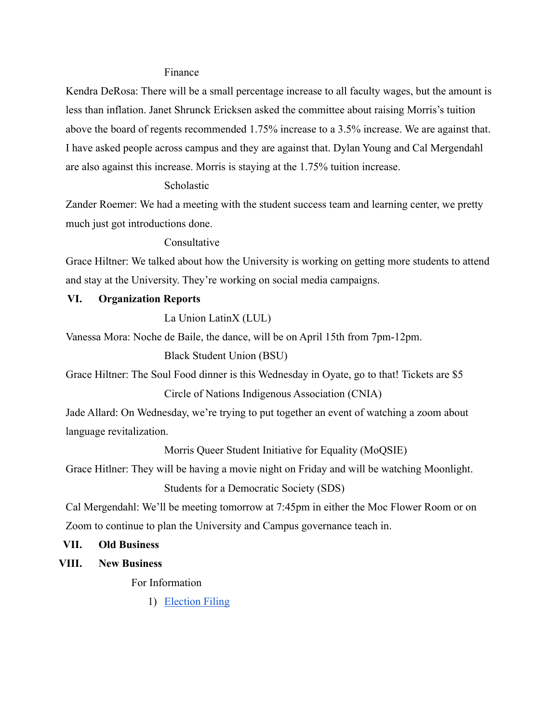#### Finance

Kendra DeRosa: There will be a small percentage increase to all faculty wages, but the amount is less than inflation. Janet Shrunck Ericksen asked the committee about raising Morris's tuition above the board of regents recommended 1.75% increase to a 3.5% increase. We are against that. I have asked people across campus and they are against that. Dylan Young and Cal Mergendahl are also against this increase. Morris is staying at the 1.75% tuition increase.

## Scholastic

Zander Roemer: We had a meeting with the student success team and learning center, we pretty much just got introductions done.

#### Consultative

Grace Hiltner: We talked about how the University is working on getting more students to attend and stay at the University. They're working on social media campaigns.

## **VI. Organization Reports**

La Union LatinX (LUL)

Vanessa Mora: Noche de Baile, the dance, will be on April 15th from 7pm-12pm.

Black Student Union (BSU)

Grace Hiltner: The Soul Food dinner is this Wednesday in Oyate, go to that! Tickets are \$5 Circle of Nations Indigenous Association (CNIA)

Jade Allard: On Wednesday, we're trying to put together an event of watching a zoom about language revitalization.

Morris Queer Student Initiative for Equality (MoQSIE)

Grace Hitlner: They will be having a movie night on Friday and will be watching Moonlight.

Students for a Democratic Society (SDS)

Cal Mergendahl: We'll be meeting tomorrow at 7:45pm in either the Moc Flower Room or on Zoom to continue to plan the University and Campus governance teach in.

#### **VII. Old Business**

**VIII. New Business**

For Information

1) [Election Filing](https://docs.google.com/forms/d/18V5gvxmFXE1bzBeUfQNKCdB_lQnJrGtYkU5NsS9JSaw/formrestricted?edit_requested=true)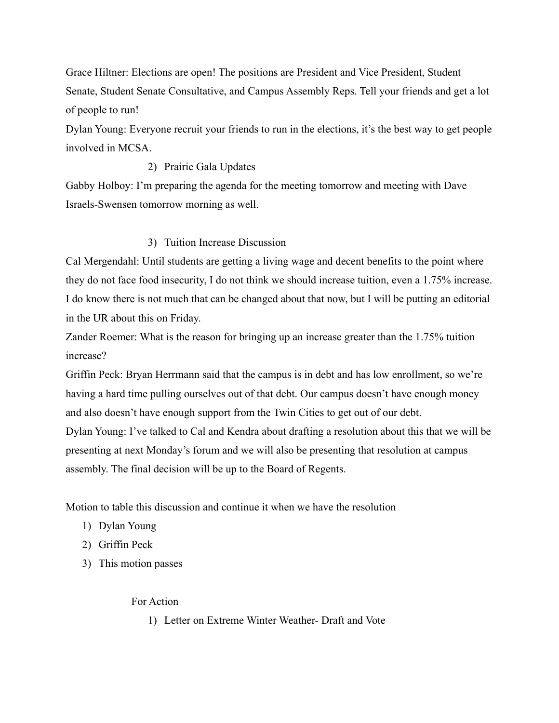Grace Hiltner: Elections are open! The positions are President and Vice President, Student Senate, Student Senate Consultative, and Campus Assembly Reps. Tell your friends and get a lot of people to run!

Dylan Young: Everyone recruit your friends to run in the elections, it's the best way to get people involved in MCSA.

### 2) Prairie Gala Updates

Gabby Holboy: I'm preparing the agenda for the meeting tomorrow and meeting with Dave Israels-Swensen tomorrow morning as well.

# 3) Tuition Increase Discussion

Cal Mergendahl: Until students are getting a living wage and decent benefits to the point where they do not face food insecurity, I do not think we should increase tuition, even a 1.75% increase. I do know there is not much that can be changed about that now, but I will be putting an editorial in the UR about this on Friday.

Zander Roemer: What is the reason for bringing up an increase greater than the 1.75% tuition increase?

Griffin Peck: Bryan Herrmann said that the campus is in debt and has low enrollment, so we're having a hard time pulling ourselves out of that debt. Our campus doesn't have enough money and also doesn't have enough support from the Twin Cities to get out of our debt.

Dylan Young: I've talked to Cal and Kendra about drafting a resolution about this that we will be presenting at next Monday's forum and we will also be presenting that resolution at campus assembly. The final decision will be up to the Board of Regents.

Motion to table this discussion and continue it when we have the resolution

- 1) Dylan Young
- 2) Griffin Peck
- 3) This motion passes

For Action

1) Letter on Extreme Winter Weather- Draft and Vote